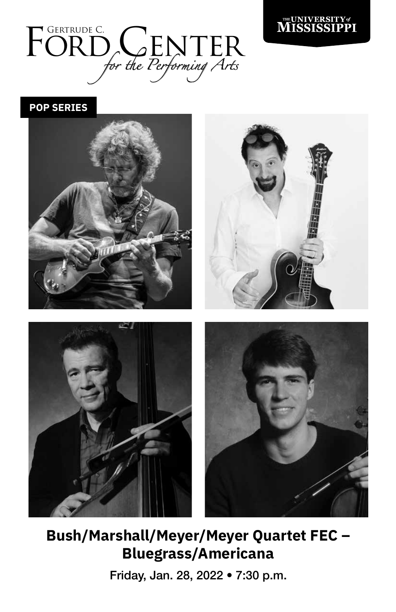



**POP SERIES**



**Bush/Marshall/Meyer/Meyer Quartet FEC – Bluegrass/Americana** 

Friday, Jan. 28, 2022 • 7:30 p.m.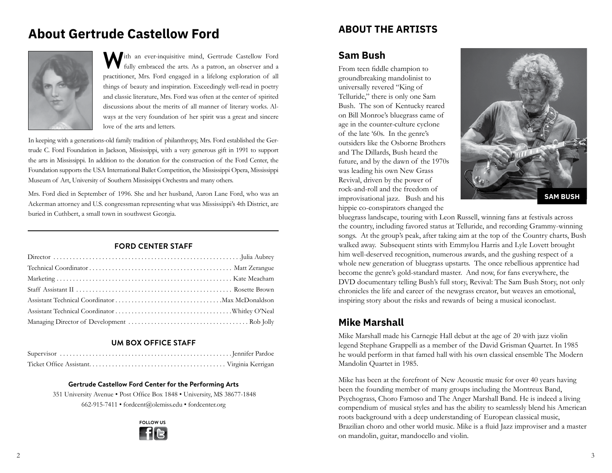# **About Gertrude Castellow Ford**



With an ever-inquisitive mind, Gertrude Castellow Ford fully embraced the arts. As a patron, an observer and a practitioner, Mrs. Ford engaged in a lifelong exploration of all things of beauty and inspiration. Exceedingly well-read in poetry and classic literature, Mrs. Ford was often at the center of spirited discussions about the merits of all manner of literary works. Always at the very foundation of her spirit was a great and sincere love of the arts and letters.

In keeping with a generations-old family tradition of philanthropy, Mrs. Ford established the Gertrude C. Ford Foundation in Jackson, Mississippi, with a very generous gift in 1991 to support the arts in Mississippi. In addition to the donation for the construction of the Ford Center, the Foundation supports the USA International Ballet Competition, the Mississippi Opera, Mississippi Museum of Art, University of Southern Mississippi Orchestra and many others.

Mrs. Ford died in September of 1996. She and her husband, Aaron Lane Ford, who was an Ackerman attorney and U.S. congressman representing what was Mississippi's 4th District, are buried in Cuthbert, a small town in southwest Georgia.

## **FORD CENTER STAFF**

## **UM BOX OFFICE STAFF**

#### **Gertrude Castellow Ford Center for the Performing Arts**

 351 University Avenue • Post Office Box 1848 • University, MS 38677-1848 662-915-7411 • fordcent@olemiss.edu • fordcenter.org



# **ABOUT THE ARTISTS**

# **Sam Bush**

From teen fiddle champion to groundbreaking mandolinist to universally revered "King of Telluride," there is only one Sam Bush. The son of Kentucky reared on Bill Monroe's bluegrass came of age in the counter-culture cyclone of the late '60s. In the genre's outsiders like the Osborne Brothers and The Dillards, Bush heard the future, and by the dawn of the 1970s was leading his own New Grass Revival, driven by the power of rock-and-roll and the freedom of improvisational jazz. Bush and his hippie co-conspirators changed the



bluegrass landscape, touring with Leon Russell, winning fans at festivals across the country, including favored status at Telluride, and recording Grammy-winning songs. At the group's peak, after taking aim at the top of the Country charts, Bush walked away. Subsequent stints with Emmylou Harris and Lyle Lovett brought him well-deserved recognition, numerous awards, and the gushing respect of a whole new generation of bluegrass upstarts. The once rebellious apprentice had become the genre's gold-standard master. And now, for fans everywhere, the DVD documentary telling Bush's full story, Revival: The Sam Bush Story, not only chronicles the life and career of the newgrass creator, but weaves an emotional, inspiring story about the risks and rewards of being a musical iconoclast.

# **Mike Marshall**

Mike Marshall made his Carnegie Hall debut at the age of 20 with jazz violin legend Stephane Grappelli as a member of the David Grisman Quartet. In 1985 he would perform in that famed hall with his own classical ensemble The Modern Mandolin Quartet in 1985.

Mike has been at the forefront of New Acoustic music for over 40 years having been the founding member of many groups including the Montreux Band, Psychograss, Choro Famoso and The Anger Marshall Band. He is indeed a living compendium of musical styles and has the ability to seamlessly blend his American roots background with a deep understanding of European classical music, Brazilian choro and other world music. Mike is a fluid Jazz improviser and a master on mandolin, guitar, mandocello and violin.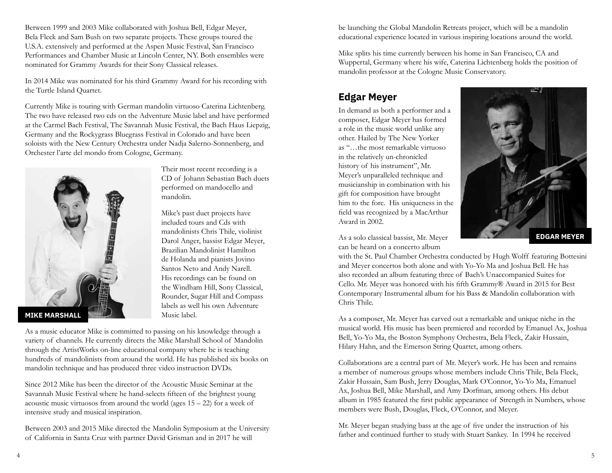Between 1999 and 2003 Mike collaborated with Joshua Bell, Edgar Meyer, Bela Fleck and Sam Bush on two separate projects. These groups toured the U.S.A. extensively and performed at the Aspen Music Festival, San Francisco Performances and Chamber Music at Lincoln Center, NY. Both ensembles were nominated for Grammy Awards for their Sony Classical releases.

In 2014 Mike was nominated for his third Grammy Award for his recording with the Turtle Island Quartet.

Currently Mike is touring with German mandolin virtuoso Caterina Lichtenberg. The two have released two cds on the Adventure Music label and have performed at the Carmel Bach Festival, The Savannah Music Festival, the Bach Haus Liepzig, Germany and the Rockygrass Bluegrass Festival in Colorado and have been soloists with the New Century Orchestra under Nadja Salerno-Sonnenberg, and Orchester l'arte del mondo from Cologne, Germany.



Their most recent recording is a CD of Johann Sebastian Bach duets performed on mandocello and mandolin.

Mike's past duet projects have included tours and Cds with mandolinists Chris Thile, violinist Darol Anger, bassist Edgar Meyer, Brazilian Mandolinist Hamilton de Holanda and pianists Jovino Santos Neto and Andy Narell. His recordings can be found on the Windham Hill, Sony Classical, Rounder, Sugar Hill and Compass labels as well his own Adventure Music label.

As a music educator Mike is committed to passing on his knowledge through a variety of channels. He currently directs the Mike Marshall School of Mandolin through the ArtistWorks on-line educational company where he is teaching hundreds of mandolinists from around the world. He has published six books on mandolin technique and has produced three video instruction DVDs.

Since 2012 Mike has been the director of the Acoustic Music Seminar at the Savannah Music Festival where he hand-selects fifteen of the brightest young acoustic music virtuosos from around the world (ages  $15 - 22$ ) for a week of intensive study and musical inspiration.

Between 2003 and 2015 Mike directed the Mandolin Symposium at the University of California in Santa Cruz with partner David Grisman and in 2017 he will

be launching the Global Mandolin Retreats project, which will be a mandolin educational experience located in various inspiring locations around the world.

Mike splits his time currently between his home in San Francisco, CA and Wuppertal, Germany where his wife, Caterina Lichtenberg holds the position of mandolin professor at the Cologne Music Conservatory.

# **Edgar Meyer**

In demand as both a performer and a composer, Edgar Meyer has formed a role in the music world unlike any other. Hailed by The New Yorker as "…the most remarkable virtuoso in the relatively un-chronicled history of his instrument", Mr. Meyer's unparalleled technique and musicianship in combination with his gift for composition have brought him to the fore. His uniqueness in the field was recognized by a MacArthur Award in 2002.



As a solo classical bassist, Mr. Meyer can be heard on a concerto album

with the St. Paul Chamber Orchestra conducted by Hugh Wolff featuring Bottesini and Meyer concertos both alone and with Yo-Yo Ma and Joshua Bell. He has also recorded an album featuring three of Bach's Unaccompanied Suites for Cello. Mr. Meyer was honored with his fifth Grammy® Award in 2015 for Best Contemporary Instrumental album for his Bass & Mandolin collaboration with Chris Thile.

As a composer, Mr. Meyer has carved out a remarkable and unique niche in the musical world. His music has been premiered and recorded by Emanuel Ax, Joshua Bell, Yo-Yo Ma, the Boston Symphony Orchestra, Bela Fleck, Zakir Hussain, Hilary Hahn, and the Emerson String Quartet, among others.

Collaborations are a central part of Mr. Meyer's work. He has been and remains a member of numerous groups whose members include Chris Thile, Bela Fleck, Zakir Hussain, Sam Bush, Jerry Douglas, Mark O'Connor, Yo-Yo Ma, Emanuel Ax, Joshua Bell, Mike Marshall, and Amy Dorfman, among others. His debut album in 1985 featured the first public appearance of Strength in Numbers, whose members were Bush, Douglas, Fleck, O'Connor, and Meyer.

Mr. Meyer began studying bass at the age of five under the instruction of his father and continued further to study with Stuart Sankey. In 1994 he received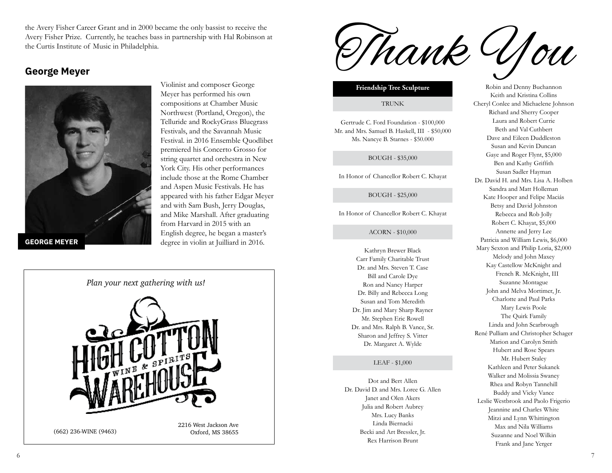the Avery Fisher Career Grant and in 2000 became the only bassist to receive the Avery Fisher Prize. Currently, he teaches bass in partnership with Hal Robinson at the Curtis Institute of Music in Philadelphia.

# **George Meyer**



Violinist and composer George Meyer has performed his own compositions at Chamber Music Northwest (Portland, Oregon), the Telluride and RockyGrass Bluegrass Festivals, and the Savannah Music Festival. in 2016 Ensemble Quodlibet premiered his Concerto Grosso for string quartet and orchestra in New York City. His other performances include those at the Rome Chamber and Aspen Music Festivals. He has appeared with his father Edgar Meyer and with Sam Bush, Jerry Douglas, and Mike Marshall. After graduating from Harvard in 2015 with an English degree, he began a master's degree in violin at Juilliard in 2016.



(662) 236-WINE (9463)

Thank You

#### **Friendship Tree Sculpture**

#### **TRUNK**

Gertrude C. Ford Foundation - \$100,000 Mr. and Mrs. Samuel B. Haskell, III - \$50,000 Ms. Nancye B. Starnes - \$50.000

#### BOUGH - \$35,000

In Honor of Chancellor Robert C. Khayat

BOUGH - \$25,000

In Honor of Chancellor Robert C. Khayat

#### ACORN - \$10,000

Kathryn Brewer Black Carr Family Charitable Trust Dr. and Mrs. Steven T. Case Bill and Carole Dye Ron and Nancy Harper Dr. Billy and Rebecca Long Susan and Tom Meredith Dr. Jim and Mary Sharp Rayner Mr. Stephen Eric Rowell Dr. and Mrs. Ralph B. Vance, Sr. Sharon and Jeffrey S. Vitter Dr. Margaret A. Wylde

#### LEAF - \$1,000

Dot and Bert Allen Dr. David D. and Mrs. Loree G. Allen Janet and Olen Akers Julia and Robert Aubrey Mrs. Lucy Banks Linda Biernacki Becki and Art Bressler, Jr. Rex Harrison Brunt

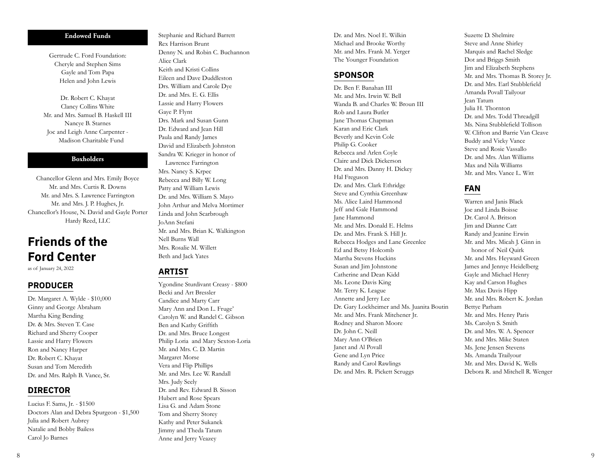#### **Endowed Funds**

Gertrude C. Ford Foundation: Cheryle and Stephen Sims Gayle and Tom Papa Helen and John Lewis

Dr. Robert C. Khayat Clancy Collins White Mr. and Mrs. Samuel B. Haskell III Nancye B. Starnes Joc and Leigh Anne Carpenter - Madison Charitable Fund

### **Boxholders**

Chancellor Glenn and Mrs. Emily Boyce Mr. and Mrs. Curtis R. Downs Mr. and Mrs. S. Lawrence Farrington Mr. and Mrs. J. P. Hughes, Jr. Chancellor's House, N. David and Gayle Porter Hardy Reed, LLC

# **Friends of the Ford Center**

as of January 24, 2022

## **PRODUCER**

Dr. Margaret A. Wylde - \$10,000 Ginny and George Abraham Martha King Bending Dr. & Mrs. Steven T. Case Richard and Sherry Cooper Lassie and Harry Flowers Ron and Nancy Harper Dr. Robert C. Khayat Susan and Tom Meredith Dr. and Mrs. Ralph B. Vance, Sr.

## **DIRECTOR**

Lucius F. Sams, Jr. - \$1500 Doctors Alan and Debra Spurgeon - \$1,500 Julia and Robert Aubrey Natalie and Bobby Bailess Carol Jo Barnes

Stephanie and Richard Barrett Rex Harrison Brunt Denny N. and Robin C. Buchannon Alice Clark Keith and Kristi Collins Eileen and Dave Duddleston Drs. William and Carole Dye Dr. and Mrs. E. G. Ellis Lassie and Harry Flowers Gaye P. Flynt Drs. Mark and Susan Gunn Dr. Edward and Jean Hill Paula and Randy James David and Elizabeth Johnston Sandra W. Krieger in honor of Lawrence Farrington Mrs. Nancy S. Krpec Rebecca and Billy W. Long Patty and William Lewis Dr. and Mrs. William S. Mayo John Arthur and Melva Mortimer Linda and John Scarbrough JoAnn Stefani Mr. and Mrs. Brian K. Walkington Nell Burns Wall Mrs. Rosalie M. Willett Beth and Jack Yates

## **ARTIST**

Ygondine Sturdivant Creasy - \$800 Becki and Art Bressler Candice and Marty Carr Mary Ann and Don L. Fruge' Carolyn W. and Randel C. Gibson Ben and Kathy Griffith Dr. and Mrs. Bruce Longest Philip Loria and Mary Sexton-Loria Mr. and Mrs. C. D. Martin Margaret Morse Vera and Flip Phillips Mr. and Mrs. Lee W. Randall Mrs. Judy Seely Dr. and Rev. Edward B. Sisson Hubert and Rose Spears Lisa G. and Adam Stone Tom and Sherry Storey Kathy and Peter Sukanek Jimmy and Theda Tatum Anne and Jerry Veazey

Dr. and Mrs. Noel E. Wilkin Michael and Brooke Worthy Mr. and Mrs. Frank M. Yerger The Younger Foundation

## **SPONSOR**

Dr. Ben F. Banahan III Mr. and Mrs. Irwin W. Bell Wanda B. and Charles W. Broun III Rob and Laura Butler Jane Thomas Chapman Karan and Eric Clark Beverly and Kevin Cole Philip G. Cooker Rebecca and Arlen Coyle Claire and Dick Dickerson Dr. and Mrs. Danny H. Dickey Hal Freguson Dr. and Mrs. Clark Ethridge Steve and Cynthia Greenhaw Ms. Alice Laird Hammond Jeff and Gale Hammond Jane Hammond Mr. and Mrs. Donald E. Helms Dr. and Mrs. Frank S. Hill Jr. Rebecca Hodges and Lane Greenlee Ed and Betsy Holcomb Martha Stevens Huckins Susan and Jim Johnstone Catherine and Dean Kidd Ms. Leone Davis King Mr. Terry K. League Annette and Jerry Lee Dr. Gary Lockheimer and Ms. Juanita Boutin Mr. and Mrs. Frank Mitchener Jr. Rodney and Sharon Moore Dr. John C. Neill Mary Ann O'Brien Janet and Al Povall Gene and Lyn Price Randy and Carol Rawlings Dr. and Mrs. R. Pickett Scruggs

Suzette D. Shelmire Steve and Anne Shirley Marquis and Rachel Sledge Dot and Briggs Smith Jim and Elizabeth Stephens Mr. and Mrs. Thomas B. Storey Jr. Dr. and Mrs. Earl Stubblefield Amanda Povall Tailyour Jean Tatum Julia H. Thornton Dr. and Mrs. Todd Threadgill Ms. Nina Stubblefield Tollison W. Clifton and Barrie Van Cleave Buddy and Vicky Vance Steve and Rosie Vassallo Dr. and Mrs. Alan Williams Max and Nila Williams Mr. and Mrs. Vance L. Witt

# **FAN**

Warren and Janis Black Joe and Linda Boisse Dr. Carol A. Britson Jim and Dianne Catt Randy and Jeanine Erwin Mr. and Mrs. Micah J. Ginn in honor of Neil Quirk Mr. and Mrs. Heyward Green James and Jennye Heidelberg Gayle and Michael Henry Kay and Carson Hughes Mr. Max Davis Hipp Mr. and Mrs. Robert K. Jordan Bettye Parham Mr. and Mrs. Henry Paris Ms. Carolyn S. Smith Dr. and Mrs. W. A. Spencer Mr. and Mrs. Mike Staten Ms. Jene Jensen Stevens Ms. Amanda Trailyour Mr. and Mrs. David K. Wells Debora R. and Mitchell R. Wenger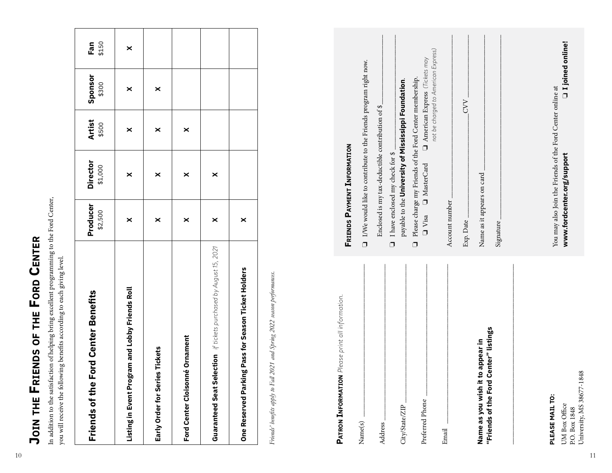| I                     |
|-----------------------|
|                       |
| ī<br>:<br>:<br>:<br>l |
| J<br>Í<br>١           |
|                       |
| Ì                     |

| Ford Center Benefits<br>Friends of the                            | Producer<br>\$2,500 | <b>Director</b><br>\$1,000 | <b>Artist</b><br>\$500 | Sponsor<br>\$300 | Fan<br>\$150 |
|-------------------------------------------------------------------|---------------------|----------------------------|------------------------|------------------|--------------|
| Listing in Event Program and Lobby Friends Roll                   | ×                   | ×                          | ×                      | ×                | ×            |
| Early Order for Series Tickets                                    | ×                   | ×                          | ×                      | ×                |              |
| Ford Center Cloisonné Ornament                                    | ×                   | ×                          | ×                      |                  |              |
| Guaranteed Seat Selection if tickets purchased by August 15, 2021 | ×                   | ×                          |                        |                  |              |
| One Reserved Parking Pass for Season Ticket Holders               | ×                   |                            |                        |                  |              |

| <b>Ford Center Benefits</b><br>Friends of the                               | Producer<br>\$2,500                                                                      | <b>Director</b><br>\$1,000                                                              | <b>Artist</b><br>\$500 | Sponsor<br>\$300                                                            | \$150<br>Fan |
|-----------------------------------------------------------------------------|------------------------------------------------------------------------------------------|-----------------------------------------------------------------------------------------|------------------------|-----------------------------------------------------------------------------|--------------|
| Listing in Event Program and Lobby Friends Roll                             | $\boldsymbol{\times}$                                                                    | $\boldsymbol{\times}$                                                                   | $\boldsymbol{\times}$  | $\times$                                                                    | ×            |
| ries Tickets<br>Early Order for Ser                                         | ×                                                                                        | ×                                                                                       | ×                      | ×                                                                           |              |
| Ford Center Cloisonné Ornament                                              | ×                                                                                        | ×                                                                                       | ×                      |                                                                             |              |
| if tickets purchased by August 15, 2021<br><b>Guaranteed Seat Selection</b> | ×                                                                                        | ×                                                                                       |                        |                                                                             |              |
| Season Ticket Holders<br>king Pass for<br>Parl<br><b>One Reserved</b>       | $\boldsymbol{\times}$                                                                    |                                                                                         |                        |                                                                             |              |
| PATRON INFORMATION Please print all information.                            | <b>FRIENDS PAYMENT INFORMATION</b>                                                       |                                                                                         |                        |                                                                             |              |
| Name(s)                                                                     |                                                                                          |                                                                                         |                        |                                                                             |              |
| Address                                                                     | $\square$ I/We would like to contribute to the Friends program right now.                | Enclosed is my tax-deductible contribution of \$                                        |                        |                                                                             |              |
| City/State/ZIP                                                              | $\Box$                                                                                   | payable to the University of Mississippi Foundation.<br>I have enclosed my check for \$ |                        |                                                                             |              |
| Preferred Phone                                                             | $\Box$ Visa<br>$\Box$                                                                    | Please charge my Friends of the Ford Center membership.<br>MasterCard                   |                        | not be charged to American Express)<br>$\Box$ American Express (Tickets may |              |
| Email                                                                       | Account number                                                                           |                                                                                         |                        |                                                                             |              |
| Name as you wish it to appear in                                            | Exp. Date                                                                                |                                                                                         |                        | <b>CVV</b>                                                                  |              |
| "Friends of the Ford Center" listings                                       | Name as it appears on card<br>Signature                                                  |                                                                                         |                        |                                                                             |              |
|                                                                             |                                                                                          |                                                                                         |                        |                                                                             |              |
| PLEASE MAIL TO:<br>UM Box Office                                            | You may also Join the Friends of the Ford Center online at<br>www.fordcenter.org/support |                                                                                         |                        | □ I joined online!                                                          |              |
| 1848<br>University, MS 38677-<br>P.O. Box 1848                              |                                                                                          |                                                                                         |                        |                                                                             |              |
|                                                                             |                                                                                          |                                                                                         |                        |                                                                             |              |